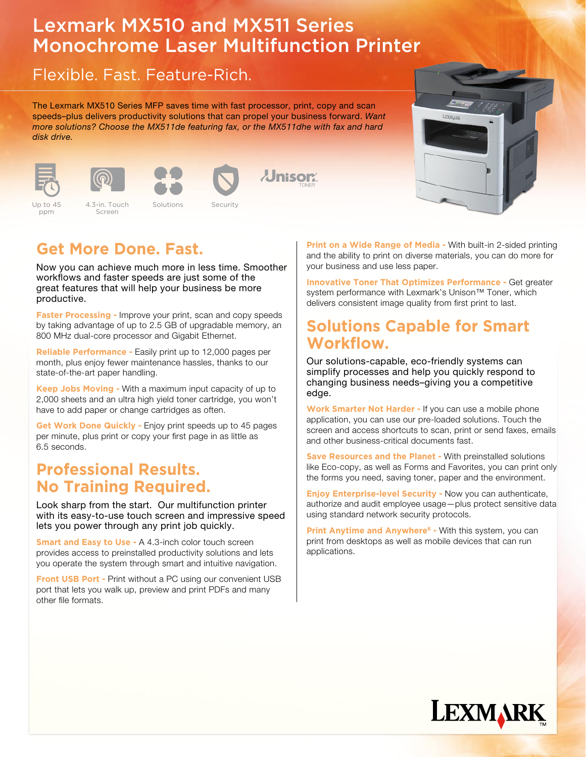# Lexmark MX510 and MX511 Series Monochrome Laser Multifunction Printer

## Flexible. Fast. Feature-Rich.

The Lexmark MX510 Series MFP saves time with fast processor, print, copy and scan speeds–plus delivers productivity solutions that can propel your business forward. Want more solutions? Choose the MX511de featuring fax, or the MX511dhe with fax and hard disk drive.









```
Up to 45 
ppm
```
Up to 45 and 4.3-in. Touch Solutions Security Up to 45 and 4.3-in. Touch Solutions Security Screen









Now you can achieve much more in less time. Smoother workflows and faster speeds are just some of the great features that will help your business be more productive.

**Faster Processing - Improve your print, scan and copy speeds** by taking advantage of up to 2.5 GB of upgradable memory, an 800 MHz dual-core processor and Gigabit Ethernet.

**Reliable Performance -** Easily print up to 12,000 pages per month, plus enjoy fewer maintenance hassles, thanks to our state-of-the-art paper handling.

**Keep Jobs Moving -** With a maximum input capacity of up to 2,000 sheets and an ultra high yield toner cartridge, you won't have to add paper or change cartridges as often.

**Get Work Done Quickly -** Enjoy print speeds up to 45 pages per minute, plus print or copy your first page in as little as 6.5 seconds.

#### **Professional Results. No Training Required.**

Look sharp from the start. Our multifunction printer with its easy-to-use touch screen and impressive speed lets you power through any print job quickly.

**Smart and Easy to Use - A 4.3-inch color touch screen** provides access to preinstalled productivity solutions and lets you operate the system through smart and intuitive navigation.

**Front USB Port - Print without a PC using our convenient USB** port that lets you walk up, preview and print PDFs and many other file formats.

**Print on a Wide Range of Media - With built-in 2-sided printing** and the ability to print on diverse materials, you can do more for your business and use less paper.

**Innovative Toner That Optimizes Performance -** Get greater system performance with Lexmark's Unison™ Toner, which delivers consistent image quality from first print to last.

### **Solutions Capable for Smart Workflow.**

Our solutions-capable, eco-friendly systems can simplify processes and help you quickly respond to changing business needs–giving you a competitive edge.

**Work Smarter Not Harder -** If you can use a mobile phone application, you can use our pre-loaded solutions. Touch the screen and access shortcuts to scan, print or send faxes, emails and other business-critical documents fast.

**Save Resources and the Planet -** With preinstalled solutions like Eco-copy, as well as Forms and Favorites, you can print only the forms you need, saving toner, paper and the environment.

**Enjoy Enterprise-level Security -** Now you can authenticate, authorize and audit employee usage—plus protect sensitive data using standard network security protocols.

**Print Anytime and Anywhere<sup>6</sup> - With this system, you can** print from desktops as well as mobile devices that can run applications.